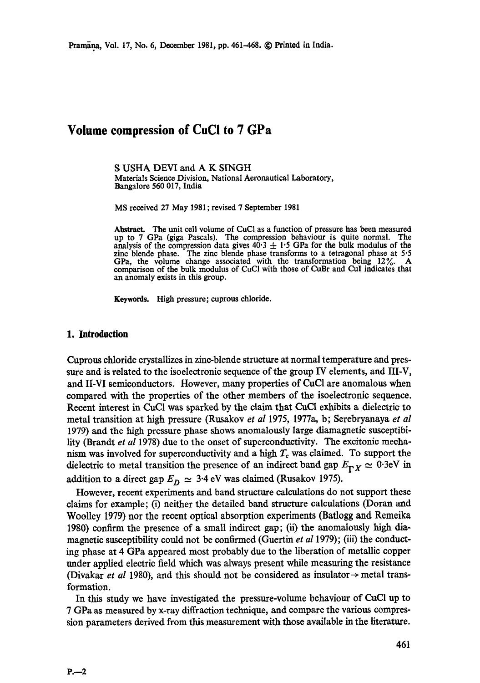# **Volume compression of CuCI to 7 GPa**

S USHA DEVI and A K SINGH Materials Science Division, National Aeronautical Laboratory, **Bangalore** 560 017, India

MS received 27 May 1981 ; revised 7 September 1981

**Abstract.** The unit cell volume of CuCI as a function of pressure has been measured up to 7 GPa (giga Pascals). The compression behaviour is quite normal. The analysis of the compression data gives  $40.3 \pm 1.5$  GPa for the bulk modulus of the zinc blende phase. The zinc blende phase transforms to a tetragonal phase at 5.5 GPa, the volume change associated with the transformation being 12%. A comparison of the bulk modulus of CuC1 with those of CuBr and CuI indicates that an anomaly exists in this group.

Keywords. High pressure; cuprous chloride.

#### **1. Introduction**

Cuprous chloride crystallizes in zinc-blende structure at normal temperature and pressure and is related to the isoeleetronie sequence of the group IV elements, and III-V, **and** II-VI semiconductors. However, many properties of CuCI are anomalous when compared with the properties of the other members of the isoelectronic sequence. Recent interest in CuCI was sparked by the claim that CuC1 exhibits a dielectric to metal transition at high pressure (Rusakov *et al* 1975, 1977a, b; Serebryanaya *et al*  1979) and the high pressure phase shows anomalously large diamagnetic susceptibility (Brandt *et al* 1978) due to the onset of superconductivity. The exeitonic mechanism was involved for superconductivity and a high  $T_c$  was claimed. To support the dielectric to metal transition the presence of an indirect band gap  $E_{pX} \simeq 0.3$ eV in addition to a direct gap  $E_D \simeq 3.4 \text{ eV}$  was claimed (Rusakov 1975).

However, recent experiments and band structure calculations do not support these claims for example; (i) neither the detailed band structure calculations (Doran and Woolley 1979) nor the recent optical absorption experiments (Batlogg and Remeika 1980) confirm the presence of a small indirect gap; (ii) the anomalously high diamagnetic susceptibility could not be confirmed (Guertin *et al* 1979); (iii) the conducting phase at 4 GPa appeared most probably due to the liberation of metallic copper under applied electric field which was always present while measuring the resistance (Divakar *et al* 1980), and this should not be considered as insulator  $\rightarrow$  metal transformation.

In this study we have investigated the pressure-volume behaviour of CuCl up to 7 GPa as measured by x-ray diffraction technique, and compare the various compression parameters derived from this measurement with those available in the literature.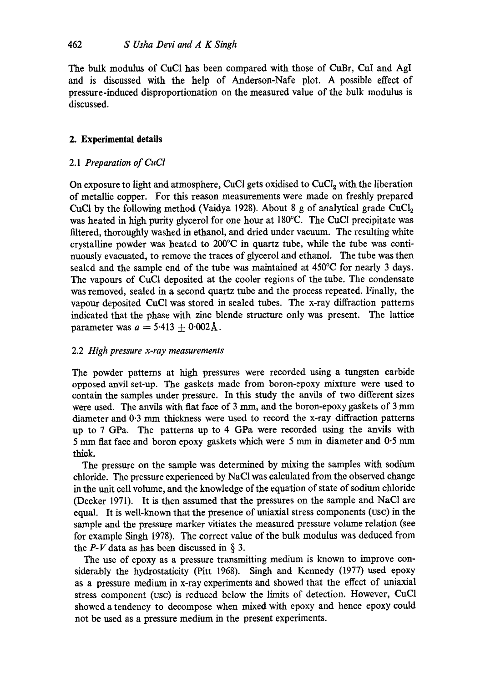The bulk modulus of CuCl has been compared with those of CuBr, CuI and AgI and is discussed with the help of Anderson-Nafe plot. A possible effect of pressure-induced disproportionation on the measured value of the bulk modulus is discussed.

# **2. Experimental details**

## 2.1 *Preparation of CuC!*

On exposure to light and atmosphere, CuCl gets oxidised to  $CuCl<sub>2</sub>$  with the liberation of metallic copper. For this reason measurements were made on freshly prepared CuCl by the following method (Vaidya 1928). About 8 g of analytical grade  $CuCl<sub>2</sub>$ was heated in high purity glycerol for one hour at 180°C. The CuC1 precipitate was filtered, thoroughly washed in ethanol, and dried under vacuum. The resulting white crystalline powder was heated to 200°C in quartz tube, while the tube was continuously evacuated, to remove the traces of glycerol and ethanol. The tube was then sealed and the sample end of the tube was maintained at 450°C for nearly 3 days. The vapours of CuC1 deposited at the cooler regions of the tube. The condensate was removed, sealed in a second quartz tube and the process repeated. Finally, the vapour deposited CuC1 was stored in sealed tubes. The x-ray diffraction patterns indicated that the phase with zinc blende structure only was present. The lattice parameter was  $a = 5.413 \pm 0.002$ Å.

# 2.2 *High pressure x-ray measurements*

The powder patterns at high pressures were recorded using a tungsten carbide opposed anvil set-up. The gaskets made from boron-epoxy mixture were used to contain the samples under pressure. In this study the anvils of two different sizes were used. The anvils with flat face of  $3 \text{ mm}$ , and the boron-epoxy gaskets of  $3 \text{ mm}$ diameter and 0.3 mm thickness were used to record the x-ray diffraction patterns up to 7 GPa. The patterns up to 4 GPa were recorded using the anvils with 5 mm flat face and boron epoxy gaskets which were 5 mm in diameter and 0.5 mm thick.

The pressure on the sample was determined by mixing the samples with sodium chloride. The pressure experienced by NaCI was calculated from the observed change in the unit cell volume, and the knowledge of the equation of state of sodium chloride (Decker 1971). It is then assumed that the pressures on the sample and NaC1 are equal. It is well-known that the presence of uniaxial stress components (use) in the sample and the pressure marker vitiates the measured pressure volume relation (see for example Singh 1978). The correct value of the bulk modulus was deduced from the  $P-V$  data as has been discussed in § 3.

The use of epoxy as a pressure transmitting medium is known to improve considerably the hydrostaticity (Pitt 1968). Singh and Kennedy (1977) used epoxy as a pressure medium in x-ray experiments and showed that the effect of uniaxial stress component (use) is reduced below the limits of detection. However, CuC1 showed a tendency to decompose when mixed with epoxy and hence epoxy could not be used as a pressure medium in the present experiments.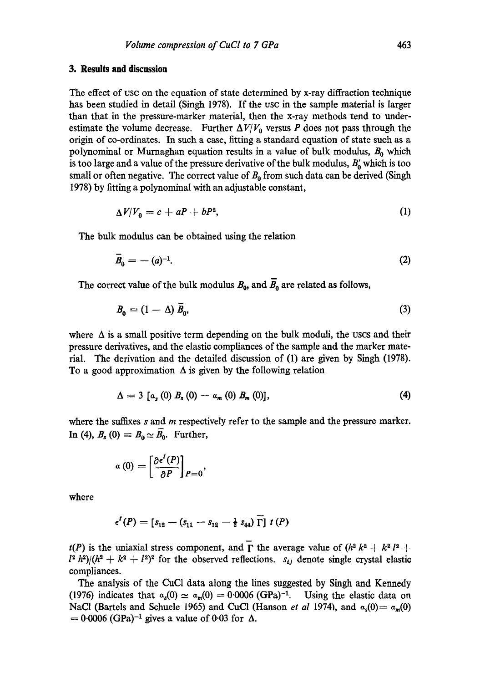### **3. Results and discussion**

The effect of usc on the equation of state determined by x-ray diffraction technique has been studied in detail (Singh 1978). If the use in the sample material is larger than that in the pressure-marker material, then the x-ray methods tend to underestimate the volume decrease. Further  $\Delta V/V_0$  versus P does not pass through the origin of co-ordinates. In such a case, fitting a standard equation of state such as a polynominal or Murnaghan equation results in a value of bulk modulus,  $B_0$  which is too large and a value of the pressure derivative of the bulk modulus,  $B'_0$  which is too small or often negative. The correct value of  $B_0$  from such data can be derived (Singh 1978) by fitting a polynominal with an adjustable constant,

$$
\Delta V/V_0 = c + aP + bP^2,\tag{1}
$$

The bulk modulus can be obtained using the relation

$$
\overline{B}_0 = -\left(a\right)^{-1}.\tag{2}
$$

The correct value of the bulk modulus  $B_0$ , and  $\overline{B}_0$  are related as follows,

$$
B_0 = (1 - \Delta) \bar{B}_0, \tag{3}
$$

where  $\Delta$  is a small positive term depending on the bulk moduli, the uscs and their pressure derivatives, and the elastic compliances of the sample and the marker material. The derivation and the detailed discussion of (1) are given by Singh (1978). To a good approximation  $\Delta$  is given by the following relation

$$
\Delta = 3 [a_s (0) B_s (0) - a_m (0) B_m (0)], \qquad (4)
$$

where the suffixes  $s$  and  $m$  respectively refer to the sample and the pressure marker. In (4),  $B_s$  (0)  $\equiv B_0 \simeq \overline{B_0}$ . Further,

$$
a(0) = \left[\frac{\partial \epsilon^l(P)}{\partial P}\right]_{P=0},
$$

where

$$
\epsilon^{t}(P) = [s_{12} - (s_{11} - s_{12} - \frac{1}{2} s_{44}) \Gamma] t(P)
$$

 $t(P)$  is the uniaxial stress component, and  $\Gamma$  the average value of  $(h^2 k^2 + k^2 l^2 +$  $l^2 h^2/(h^2 + k^2 + l^2)^2$  for the observed reflections.  $s_{ij}$  denote single crystal elastic compliances.

The analysis of the CuCI data along the lines suggested by Singh and Kennedy (1976) indicates that  $a_s(0) \approx a_m(0) = 0.0006$  (GPa)<sup>-1</sup>. Using the elastic data on NaCl (Bartels and Schuele 1965) and CuCl (Hanson *et al* 1974), and  $a_s(0) = a_m(0)$  $= 0.0006$  (GPa)<sup>-1</sup> gives a value of 0.03 for  $\Delta$ .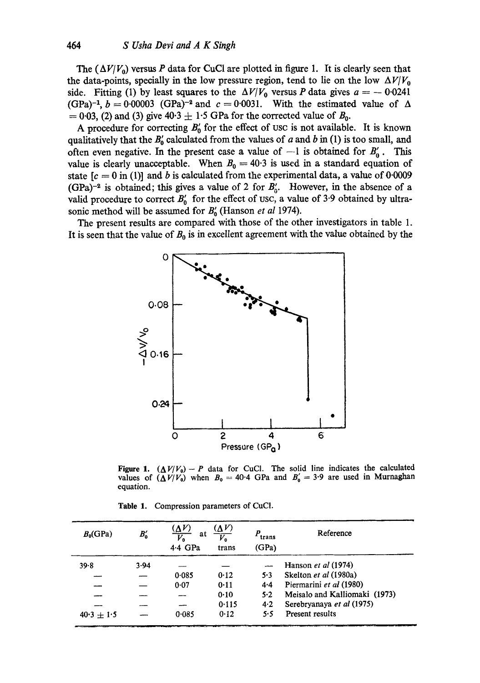**The (** $\Delta V/V_0$ **)** versus P data for CuCl are plotted in figure 1. It is clearly seen that the data-points, specially in the low pressure region, tend to lie on the low  $\Delta V/V_0$ side. Fitting (1) by least squares to the  $\Delta V/V_0$  versus P data gives  $a = -0.0241$ (GPa)<sup>-1</sup>,  $b = 0.00003$  (GPa)<sup>-2</sup> and  $c = 0.0031$ . With the estimated value of  $\Delta$  $= 0.03$ , (2) and (3) give  $40.3 \pm 1.5$  GPa for the corrected value of  $B_0$ .

A procedure for correcting  $B'_{0}$  for the effect of usc is not available. It is known qualitatively that the  $B'_0$  calculated from the values of a and b in (1) is too small, and often even negative. In the present case a value of  $-1$  is obtained for  $B'_0$ . This value is clearly unacceptable. When  $B_0 = 40.3$  is used in a standard equation of state  $[c = 0$  in (1)] and b is calculated from the experimental data, a value of 0.0009 (GPa)<sup>-2</sup> is obtained; this gives a value of 2 for  $B'_{0}$ . However, in the absence of a valid procedure to correct  $B_0'$  for the effect of usc, a value of 3.9 obtained by ultrasonic method will be assumed for  $B'_{0}$  (Hanson *et al* 1974).

The present results are compared with those of the other investigators in table 1. It is seen that the value of  $B_0$  is in excellent agreement with the value obtained by the



Figure 1.  $(\Delta V/V_0) - P$  data for CuCl. The solid line indicates the calculated values of  $(\Delta V/V_0)$  when  $B_0=40.4$  GPa and  $B'_0=3.9$  are used in Murnaghan equation.

|  |  | Table 1. Compression parameters of CuCl. |  |  |  |
|--|--|------------------------------------------|--|--|--|
|--|--|------------------------------------------|--|--|--|

| $B_0$ (GPa)  | $B_{\rm o}'$ | $(\Delta V)$<br>at<br>$\overline{V_{\mathbf{0}}}$<br>4.4 GPa | $\Delta V$<br>trans | $P_{trans}$<br>(GPa) | Reference                     |
|--------------|--------------|--------------------------------------------------------------|---------------------|----------------------|-------------------------------|
| 39.8         | 3.94         |                                                              |                     |                      | Hanson et al (1974)           |
|              |              | 0.085                                                        | 0.12                | 5.3                  | Skelton et al (1980a)         |
|              |              | 0.07                                                         | 0.11                | 4.4                  | Piermarini et al (1980)       |
|              |              |                                                              | 0.10                | 5.2                  | Meisalo and Kalliomaki (1973) |
|              |              |                                                              | 0.115               | 4.2                  | Serebryanaya et al (1975)     |
| $40.3 + 1.5$ |              | 0.085                                                        | 0.12                | 5.5                  | Present results               |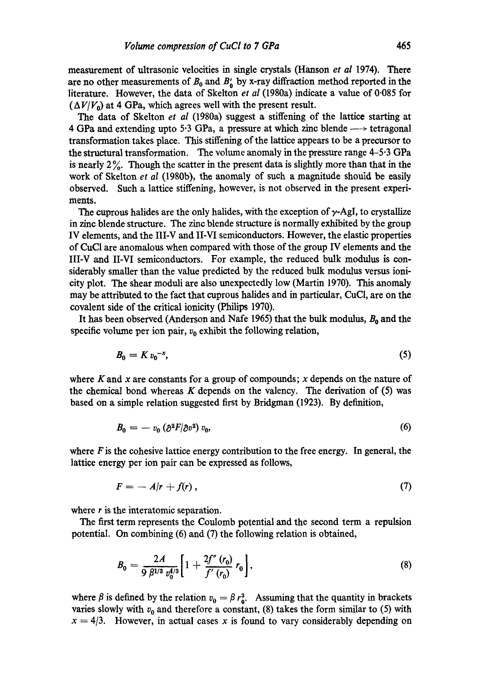measurement of ultrasonic velocities in single crystals (Hanson *et al* 1974). There are no other measurements of  $B_0$  and  $B'_0$  by x-ray diffraction method reported in the literature. However, the data of Skelton *et al* (1980a) indicate a value of 0.085 for  $(\Delta V/V_0)$  at 4 GPa, which agrees well with the present result.

The data of Skelton *et al* (1980a) suggest a stiffening of the lattice starting at 4 GPa and extending upto 5.3 GPa, a pressure at which zinc blende  $\rightarrow$  tetragonal transformation takes place. This stiffening of the lattice appears to be a precursor to the structural transformation. The volume anomaly in the pressure range 4-5-3 GPa is nearly  $2\%$ . Though the scatter in the present data is slightly more than that in the work of Skelton *et aI* (1980b), the anomaly of such a magnitude should be easily observed. Such a lattice stiffening, however, is not observed in the present experiments.

The cuprous halides are the only halides, with the exception of  $\gamma$ -AgI, to crystallize in zinc blende structure. The zinc blende structure is normally exhibited by the group IV elements, and the III-V and II-VI semiconductors. However, the elastic properties of CuCI are anomalous when compared with those of the group IV elements and the III-V and II-VI semiconductors. For example, the reduced bulk modulus is considerably smaller than the value predicted by the reduced bulk modulus versus ionicity plot. The shear moduli are also unexpectedly low (Martin 1970). This anomaly may be attributed to the fact that cuprous halides and in particular, CuCI, are on the covalent side of the critical ionicity (Philips 1970).

It has been observed (Anderson and Nafe 1965) that the bulk modulus,  $B_0$  and the specific volume per ion pair,  $v_0$  exhibit the following relation,

$$
B_0 = K v_0^{-x},\tag{5}
$$

where K and x are constants for a group of compounds; x depends on the nature of the chemical bond whereas  $K$  depends on the valency. The derivation of (5) was based on a simple relation suggested first by Bridgman (1923). By definition,

$$
B_0 = -v_0 \left(\partial^2 F/\partial v^2\right) v_0, \tag{6}
$$

where  $F$  is the cohesive lattice energy contribution to the free energy. In general, the lattice energy per ion pair can be expressed as follows,

$$
F = -A/r + f(r), \qquad (7)
$$

where r is the interatomic separation.

The first term represents the Coulomb potential and the second term a repulsion potential. On combining (6) and (7) the following relation is obtained,

$$
B_0 = \frac{2A}{9 \beta^{1/3} v_0^{4/3}} \left[ 1 + \frac{2f''(r_0)}{f'(r_0)} r_0 \right],
$$
\n(8)

where  $\beta$  is defined by the relation  $v_0 = \beta r_0^3$ . Assuming that the quantity in brackets varies slowly with  $v_0$  and therefore a constant, (8) takes the form similar to (5) with  $x = 4/3$ . However, in actual cases x is found to vary considerably depending on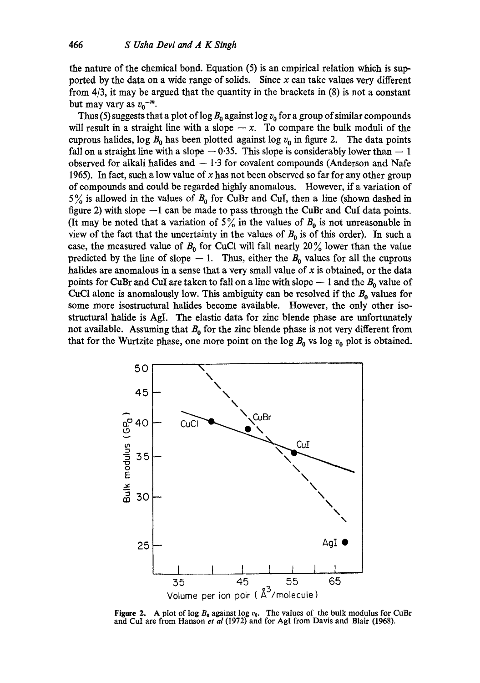the nature of the chemical bond. Equation (5) is an empirical relation which is supported by the data on a wide range of solids. Since  $x$  can take values very different from 4/3, it may be argued that the quantity in the brackets in (8) is not a constant but may vary as  $v_0^{-m}$ .

Thus (5) suggests that a plot of  $\log B_0$  against  $\log v_0$  for a group of similar compounds will result in a straight line with a slope  $-x$ . To compare the bulk moduli of the cuprous halides, log  $B_0$  has been plotted against log  $v_0$  in figure 2. The data points fall on a straight line with a slope  $-0.35$ . This slope is considerably lower than  $-1$ observed for alkali halides and  $-1.3$  for covalent compounds (Anderson and Nafe 1965). In fact, such a low value of x has not been observed so far for any other group of compounds and could be regarded highly anomalous. However, if a variation of  $5\%$  is allowed in the values of  $B_0$  for CuBr and CuI, then a line (shown dashed in figure 2) with slope --1 can be made to pass through the CuBr and CuI data points. (It may be noted that a variation of  $5\%$  in the values of  $B_0$  is not unreasonable in view of the fact that the uncertainty in the values of  $B_0$  is of this order). In such a case, the measured value of  $B_0$  for CuCl will fall nearly 20% lower than the value predicted by the line of slope  $-1$ . Thus, either the  $B_0$  values for all the cuprous halides are anomalous in a sense that a very small value of  $x$  is obtained, or the data points for CuBr and CuI are taken to fall on a line with slope  $-1$  and the  $B_0$  value of CuCl alone is anomalously low. This ambiguity can be resolved if the  $B_0$  values for some more isostructural halides become available. However, the only other isostructural halide is AgI. The elastic data for zinc blende phase are unfortunately not available. Assuming that  $B_0$  for the zinc blende phase is not very different from that for the Wurtzite phase, one more point on the log  $B_0$  vs log  $v_0$  plot is obtained.



Figure 2. A plot of log  $B_0$  against log  $v_0$ . The values of the bulk modulus for CuBr and CuI are from Hanson *et al* **(1972)** and for AgI from Davis and Blair **(1968).**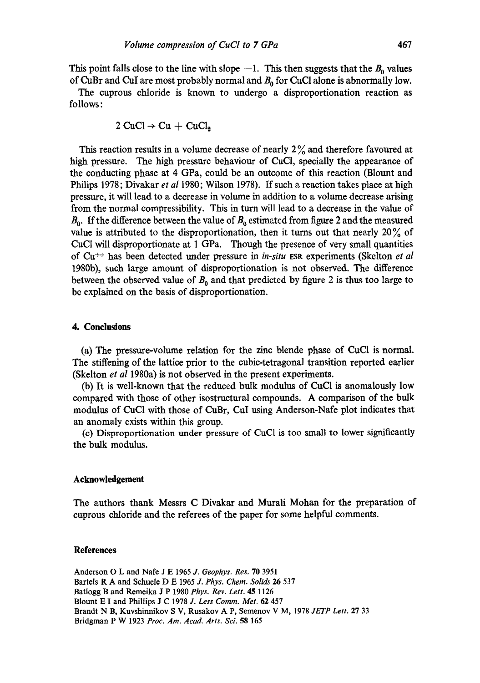This point falls close to the line with slope  $-1$ . This then suggests that the  $B_0$  values of CuBr and CuI are most probably normal and  $B_0$  for CuCl alone is abnormally low.

The cuprous chloride is known to undergo a disproportionation reaction as follows:

$$
2 \text{ CuCl} \rightarrow \text{Cu} + \text{ CuCl}_2
$$

This reaction results in a volume decrease of nearly  $2\%$  and therefore favoured at high pressure. The high pressure behaviour of CuCI, specially the appearance of the conducting phase at 4 GPa, could be an outcome of this reaction (Blount and Philips 1978; Divakar *et al* 1980; Wilson 1978). If such a reaction takes place at high pressure, it will lead to a decrease in volume in addition to a volume decrease arising from the normal compressibility. This in turn will lead to a decrease in the value of  $B_0$ . If the difference between the value of  $B_0$  estimated from figure 2 and the measured value is attributed to the disproportionation, then it turns out that nearly  $20\%$  of CuC1 will disproportionate at 1 GPa. Though the presence of very small quantities of Cu ++ has been detected under pressure in *in-situ* ESR experiments (Skelton *et al*  1980b), such large amount of disproportionation is not observed. The difference between the observed value of  $B_0$  and that predicted by figure 2 is thus too large to be explained on the basis of disproportionation.

### **4. Conclusions**

(a) The pressure-volume relation for the zinc blende phase of CuCI is normal. The stiffening of the lattice prior to the cubie-tetragonal transition reported earlier (Skelton *et al* 1980a) is not observed in the present experiments.

(b) It is well-known that the reduced bulk modulus of CuC1 is anomalously low compared with those of other isostrnctural compounds. A comparison of the bulk modulus of CuC1 with those of CuBr, CuI using Anderson-Nafe plot indicates that an anomaly exists within this group.

(c) Disproportionation under pressure of CuCI is too small to lower significantly the bulk modulus.

#### **Acknowledgement**

The authors thank Messrs C Divakar and Murali Mohan for the preparation of cuprous chloride and the referees of the paper for some helpful comments.

#### **References**

Anderson O L and Nafe J E 1965 J. *Geophys. Res.* 70 3951 Bartels R A and Schuele D E 1965 J. Phys. Chem. Solids 26 537 Batlogg B and Remeika J P 1980 *Phys. Rev. Lett.* 45 1126 Blount E I and Phillips J C 1978 *J. Less Comm. Met.* 62 457 Brandt N B, Kuvshinnikov S V, Rusakov A P, Semenov V M, 1978 *JETP Lett.* 27 33 Bridgman P W 1923 *Proc. Am. Acad. Arts. Sci.* 58 165